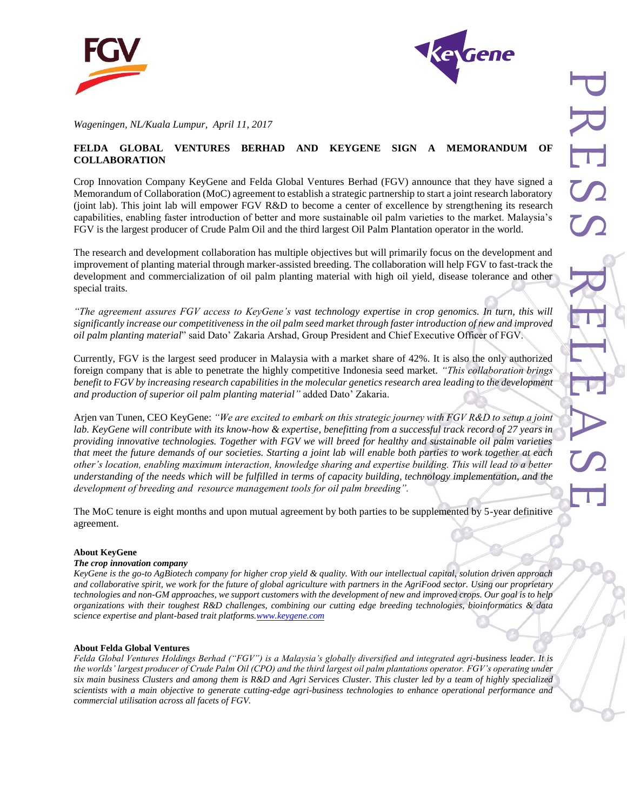



*Wageningen, NL/Kuala Lumpur, April 11, 2017* 

## **FELDA GLOBAL VENTURES BERHAD AND KEYGENE SIGN A MEMORANDUM OF COLLABORATION**

Crop Innovation Company KeyGene and Felda Global Ventures Berhad (FGV) announce that they have signed a Memorandum of Collaboration (MoC) agreement to establish a strategic partnership to start a joint research laboratory (joint lab). This joint lab will empower FGV R&D to become a center of excellence by strengthening its research capabilities, enabling faster introduction of better and more sustainable oil palm varieties to the market. Malaysia's FGV is the largest producer of Crude Palm Oil and the third largest Oil Palm Plantation operator in the world.

The research and development collaboration has multiple objectives but will primarily focus on the development and improvement of planting material through marker-assisted breeding. The collaboration will help FGV to fast-track the development and commercialization of oil palm planting material with high oil yield, disease tolerance and other special traits.

*"The agreement assures FGV access to KeyGene's vast technology expertise in crop genomics. In turn, this will significantly increase our competitiveness in the oil palm seed market through faster introduction of new and improved oil palm planting material*" said Dato' Zakaria Arshad, Group President and Chief Executive Officer of FGV.

Currently, FGV is the largest seed producer in Malaysia with a market share of 42%. It is also the only authorized foreign company that is able to penetrate the highly competitive Indonesia seed market. *"This collaboration brings benefit to FGV by increasing research capabilities in the molecular genetics research area leading to the development and production of superior oil palm planting material"* added Dato' Zakaria.

Arjen van Tunen, CEO KeyGene: *"We are excited to embark on this strategic journey with FGV R&D to setup a joint*  lab. KeyGene will contribute with its know-how & expertise, benefitting from a successful track record of 27 years in *providing innovative technologies. Together with FGV we will breed for healthy and sustainable oil palm varieties that meet the future demands of our societies. Starting a joint lab will enable both parties to work together at each other's location, enabling maximum interaction, knowledge sharing and expertise building. This will lead to a better understanding of the needs which will be fulfilled in terms of capacity building, technology implementation, and the development of breeding and resource management tools for oil palm breeding".*

The MoC tenure is eight months and upon mutual agreement by both parties to be supplemented by 5-year definitive agreement.

### **About KeyGene**

#### *The crop innovation company*

*KeyGene is the go-to AgBiotech company for higher crop yield & quality. With our intellectual capital, solution driven approach and collaborative spirit, we work for the future of global agriculture with partners in the AgriFood sector. Using our proprietary technologies and non-GM approaches, we support customers with the development of new and improved crops. Our goal is to help organizations with their toughest R&D challenges, combining our cutting edge breeding technologies, bioinformatics & data science expertise and plant-based trait platform[s.www.keygene.com](http://www.keygene.com/)*

#### **About Felda Global Ventures**

*Felda Global Ventures Holdings Berhad ("FGV") is a Malaysia's globally diversified and integrated agri-business leader. It is the worlds' largest producer of Crude Palm Oil (CPO) and the third largest oil palm plantations operator. FGV's operating under six main business Clusters and among them is R&D and Agri Services Cluster. This cluster led by a team of highly specialized scientists with a main objective to generate cutting-edge agri-business technologies to enhance operational performance and commercial utilisation across all facets of FGV.*